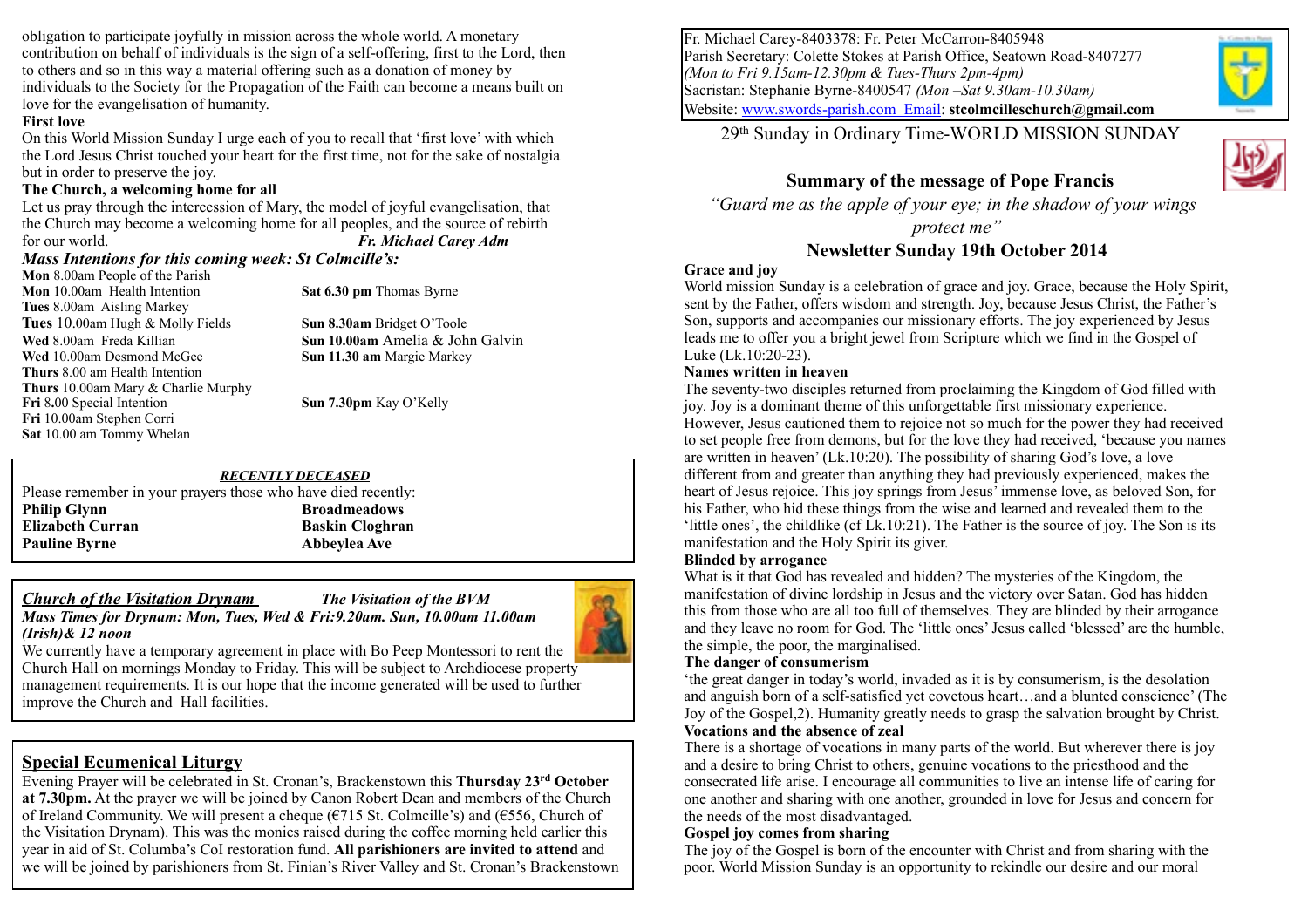obligation to participate joyfully in mission across the whole world. A monetary contribution on behalf of individuals is the sign of a self-offering, first to the Lord, then to others and so in this way a material offering such as a donation of money by individuals to the Society for the Propagation of the Faith can become a means built on love for the evangelisation of humanity.

#### **First love**

On this World Mission Sunday I urge each of you to recall that 'first love' with which the Lord Jesus Christ touched your heart for the first time, not for the sake of nostalgia but in order to preserve the joy.

#### **The Church, a welcoming home for all**

Let us pray through the intercession of Mary, the model of joyful evangelisation, that the Church may become a welcoming home for all peoples, and the source of rebirth for our world. *Fr. Michael Carey Adm*

#### *Mass Intentions for this coming week: St Colmcille's:*

**Mon** 8.00am People of the Parish **Mon** 10.00am Health Intention **Sat 6.30 pm** Thomas Byrne **Tues** 8.00am Aisling Markey **Tues** 10.00am Hugh & Molly Fields **Sun 8.30am** Bridget O'Toole **Wed** 8.00am Freda Killian **Sun 10.00am** Amelia & John Galvin **Wed** 10.00am Desmond McGee **Sun 11.30 am** Margie Markey **Thurs** 8.00 am Health Intention **Thurs** 10.00am Mary & Charlie Murphy **Fri** 8**.**00 Special Intention **Sun 7.30pm** Kay O'Kelly **Fri** 10.00am Stephen Corri **Sat** 10.00 am Tommy Whelan

## *RECENTLY DECEASED*

Please remember in your prayers those who have died recently: **Philip Glynn** Broadmeadows **Elizabeth Curran baskin Cloghran Baskin Cloghran Pauline Byrne Abbeylea Ave** 

### *Church of the Visitation Drynam The Visitation of the BVM*





We currently have a temporary agreement in place with Bo Peep Montessori to rent the Church Hall on mornings Monday to Friday. This will be subject to Archdiocese property management requirements. It is our hope that the income generated will be used to further improve the Church and Hall facilities.

## **Special Ecumenical Liturgy**

Evening Prayer will be celebrated in St. Cronan's, Brackenstown this **Thursday 23rd October at 7.30pm.** At the prayer we will be joined by Canon Robert Dean and members of the Church of Ireland Community. We will present a cheque ( $\epsilon$ 715 St. Colmcille's) and ( $\epsilon$ 556, Church of the Visitation Drynam). This was the monies raised during the coffee morning held earlier this year in aid of St. Columba's CoI restoration fund. **All parishioners are invited to attend** and we will be joined by parishioners from St. Finian's River Valley and St. Cronan's Brackenstown Fr. Michael Carey-8403378: Fr. Peter McCarron-8405948 Parish Secretary: Colette Stokes at Parish Office, Seatown Road-8407277 *(Mon to Fri 9.15am-12.30pm & Tues-Thurs 2pm-4pm)* Sacristan: Stephanie Byrne-8400547 *(Mon –Sat 9.30am-10.30am)* Website: [www.swords-parish.com Email:](http://www.swords-parish.com%20%20email) **stcolmcilleschurch@gmail.com**

29th Sunday in Ordinary Time-WORLD MISSION SUNDAY



## **Summary of the message of Pope Francis**

 *"Guard me as the apple of your eye; in the shadow of your wings* 

*protect me"* 

### **Newsletter Sunday 19th October 2014**

#### **Grace and joy**

World mission Sunday is a celebration of grace and joy. Grace, because the Holy Spirit, sent by the Father, offers wisdom and strength. Joy, because Jesus Christ, the Father's Son, supports and accompanies our missionary efforts. The joy experienced by Jesus leads me to offer you a bright jewel from Scripture which we find in the Gospel of Luke (Lk.10:20-23).

#### **Names written in heaven**

The seventy-two disciples returned from proclaiming the Kingdom of God filled with joy. Joy is a dominant theme of this unforgettable first missionary experience. However, Jesus cautioned them to rejoice not so much for the power they had received to set people free from demons, but for the love they had received, 'because you names are written in heaven' (Lk.10:20). The possibility of sharing God's love, a love different from and greater than anything they had previously experienced, makes the heart of Jesus rejoice. This joy springs from Jesus' immense love, as beloved Son, for his Father, who hid these things from the wise and learned and revealed them to the 'little ones', the childlike (cf Lk.10:21). The Father is the source of joy. The Son is its manifestation and the Holy Spirit its giver.

### **Blinded by arrogance**

What is it that God has revealed and hidden? The mysteries of the Kingdom, the manifestation of divine lordship in Jesus and the victory over Satan. God has hidden this from those who are all too full of themselves. They are blinded by their arrogance and they leave no room for God. The 'little ones' Jesus called 'blessed' are the humble, the simple, the poor, the marginalised.

#### **The danger of consumerism**

'the great danger in today's world, invaded as it is by consumerism, is the desolation and anguish born of a self-satisfied yet covetous heart…and a blunted conscience' (The Joy of the Gospel,2). Humanity greatly needs to grasp the salvation brought by Christ. **Vocations and the absence of zeal** 

There is a shortage of vocations in many parts of the world. But wherever there is joy and a desire to bring Christ to others, genuine vocations to the priesthood and the consecrated life arise. I encourage all communities to live an intense life of caring for one another and sharing with one another, grounded in love for Jesus and concern for the needs of the most disadvantaged.

#### **Gospel joy comes from sharing**

The joy of the Gospel is born of the encounter with Christ and from sharing with the poor. World Mission Sunday is an opportunity to rekindle our desire and our moral